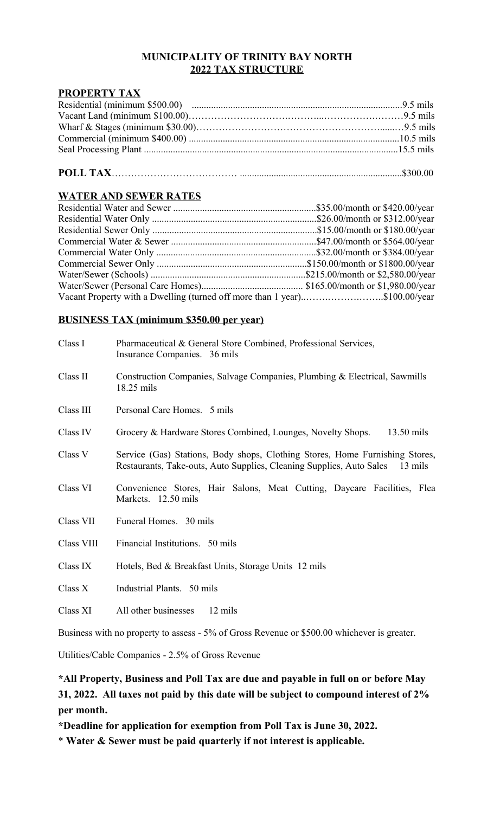#### **MUNICIPALITY OF TRINITY BAY NORTH 2022 TAX STRUCTURE**

#### **PROPERTY TAX**

#### **POLL TAX**………………………………… ...................................................................\$300.00

### **WATER AND SEWER RATES**

| Vacant Property with a Dwelling (turned off more than 1 year)\$100.00/year |  |
|----------------------------------------------------------------------------|--|

#### **BUSINESS TAX (minimum \$350.00 per year)**

| Class I    | Pharmaceutical & General Store Combined, Professional Services,<br>Insurance Companies. 36 mils                                                                 |
|------------|-----------------------------------------------------------------------------------------------------------------------------------------------------------------|
| Class II   | Construction Companies, Salvage Companies, Plumbing & Electrical, Sawmills<br>18.25 mils                                                                        |
| Class III  | Personal Care Homes. 5 mils                                                                                                                                     |
| Class IV   | Grocery & Hardware Stores Combined, Lounges, Novelty Shops.<br>13.50 mils                                                                                       |
| Class V    | Service (Gas) Stations, Body shops, Clothing Stores, Home Furnishing Stores,<br>Restaurants, Take-outs, Auto Supplies, Cleaning Supplies, Auto Sales<br>13 mils |
| Class VI   | Convenience Stores, Hair Salons, Meat Cutting, Daycare Facilities, Flea<br>Markets. 12.50 mils                                                                  |
| Class VII  | Funeral Homes. 30 mils                                                                                                                                          |
| Class VIII | Financial Institutions. 50 mils                                                                                                                                 |
| Class IX   | Hotels, Bed & Breakfast Units, Storage Units 12 mils                                                                                                            |
| Class X    | Industrial Plants. 50 mils                                                                                                                                      |
| Class XI   | All other businesses<br>12 mils                                                                                                                                 |

Business with no property to assess - 5% of Gross Revenue or \$500.00 whichever is greater.

Utilities/Cable Companies - 2.5% of Gross Revenue

### **\*All Property, Business and Poll Tax are due and payable in full on or before May 31, 2022. All taxes not paid by this date will be subject to compound interest of 2% per month.**

**\*Deadline for application for exemption from Poll Tax is June 30, 2022.**

\* **Water & Sewer must be paid quarterly if not interest is applicable.**